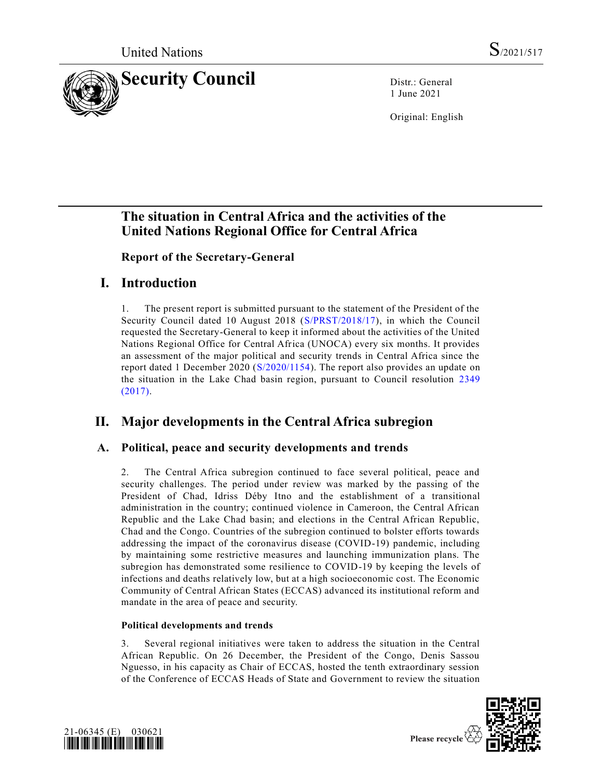

1 June 2021

Original: English

# **The situation in Central Africa and the activities of the United Nations Regional Office for Central Africa**

**Report of the Secretary-General**

# **I. Introduction**

1. The present report is submitted pursuant to the statement of the President of the Security Council dated 10 August 2018 [\(S/PRST/2018/17\)](https://undocs.org/en/S/PRST/2018/17), in which the Council requested the Secretary-General to keep it informed about the activities of the United Nations Regional Office for Central Africa (UNOCA) every six months. It provides an assessment of the major political and security trends in Central Africa since the report dated 1 December 2020 [\(S/2020/1154\)](https://undocs.org/en/S/2020/1154). The report also provides an update on the situation in the Lake Chad basin region, pursuant to Council resolution [2349](https://undocs.org/en/S/RES/2349(2017))  [\(2017\).](https://undocs.org/en/S/RES/2349(2017))

# **II. Major developments in the Central Africa subregion**

# **A. Political, peace and security developments and trends**

2. The Central Africa subregion continued to face several political, peace and security challenges. The period under review was marked by the passing of the President of Chad, Idriss Déby Itno and the establishment of a transitional administration in the country; continued violence in Cameroon, the Central African Republic and the Lake Chad basin; and elections in the Central African Republic, Chad and the Congo. Countries of the subregion continued to bolster efforts towards addressing the impact of the coronavirus disease (COVID-19) pandemic, including by maintaining some restrictive measures and launching immunization plans. The subregion has demonstrated some resilience to COVID-19 by keeping the levels of infections and deaths relatively low, but at a high socioeconomic cost. The Economic Community of Central African States (ECCAS) advanced its institutional reform and mandate in the area of peace and security.

## **Political developments and trends**

3. Several regional initiatives were taken to address the situation in the Central African Republic. On 26 December, the President of the Congo, Denis Sassou Nguesso, in his capacity as Chair of ECCAS, hosted the tenth extraordinary session of the Conference of ECCAS Heads of State and Government to review the situation



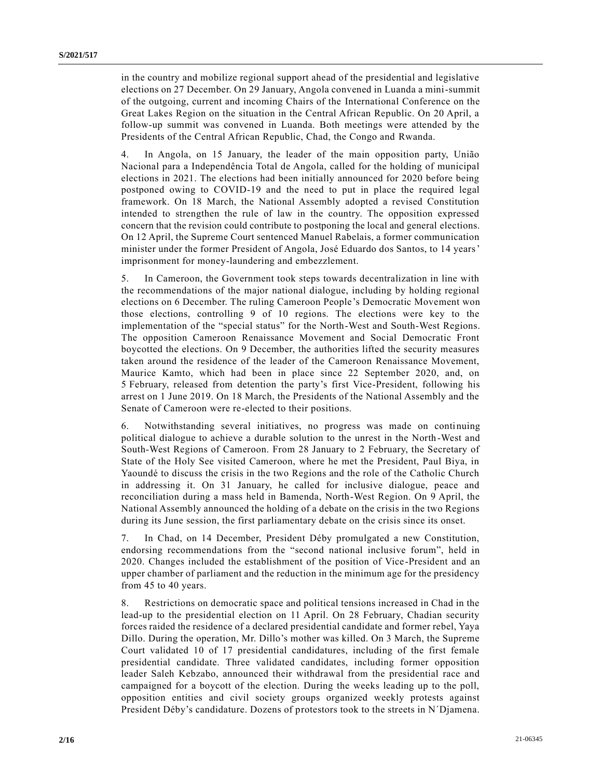in the country and mobilize regional support ahead of the presidential and legislative elections on 27 December. On 29 January, Angola convened in Luanda a mini-summit of the outgoing, current and incoming Chairs of the International Conference on the Great Lakes Region on the situation in the Central African Republic. On 20 April, a follow-up summit was convened in Luanda. Both meetings were attended by the Presidents of the Central African Republic, Chad, the Congo and Rwanda.

4. In Angola, on 15 January, the leader of the main opposition party, União Nacional para a Independência Total de Angola, called for the holding of municipal elections in 2021. The elections had been initially announced for 2020 before being postponed owing to COVID-19 and the need to put in place the required legal framework. On 18 March, the National Assembly adopted a revised Constitution intended to strengthen the rule of law in the country. The opposition expressed concern that the revision could contribute to postponing the local and general elections. On 12 April, the Supreme Court sentenced Manuel Rabelais, a former communication minister under the former President of Angola, José Eduardo dos Santos, to 14 years' imprisonment for money-laundering and embezzlement.

5. In Cameroon, the Government took steps towards decentralization in line with the recommendations of the major national dialogue, including by holding regional elections on 6 December. The ruling Cameroon People's Democratic Movement won those elections, controlling 9 of 10 regions. The elections were key to the implementation of the "special status" for the North-West and South-West Regions. The opposition Cameroon Renaissance Movement and Social Democratic Front boycotted the elections. On 9 December, the authorities lifted the security measures taken around the residence of the leader of the Cameroon Renaissance Movement, Maurice Kamto, which had been in place since 22 September 2020, and, on 5 February, released from detention the party's first Vice-President, following his arrest on 1 June 2019. On 18 March, the Presidents of the National Assembly and the Senate of Cameroon were re-elected to their positions.

6. Notwithstanding several initiatives, no progress was made on continuing political dialogue to achieve a durable solution to the unrest in the North -West and South-West Regions of Cameroon. From 28 January to 2 February, the Secretary of State of the Holy See visited Cameroon, where he met the President, Paul Biya, in Yaoundé to discuss the crisis in the two Regions and the role of the Catholic Church in addressing it. On 31 January, he called for inclusive dialogue, peace and reconciliation during a mass held in Bamenda, North-West Region. On 9 April, the National Assembly announced the holding of a debate on the crisis in the two Regions during its June session, the first parliamentary debate on the crisis since its onset.

7. In Chad, on 14 December, President Déby promulgated a new Constitution, endorsing recommendations from the "second national inclusive forum", held in 2020. Changes included the establishment of the position of Vice -President and an upper chamber of parliament and the reduction in the minimum age for the presidency from 45 to 40 years.

8. Restrictions on democratic space and political tensions increased in Chad in the lead-up to the presidential election on 11 April. On 28 February, Chadian security forces raided the residence of a declared presidential candidate and former rebel, Yaya Dillo. During the operation, Mr. Dillo's mother was killed. On 3 March, the Supreme Court validated 10 of 17 presidential candidatures, including of the first female presidential candidate. Three validated candidates, including former opposition leader Saleh Kebzabo, announced their withdrawal from the presidential race and campaigned for a boycott of the election. During the weeks leading up to the poll, opposition entities and civil society groups organized weekly protests against President Déby's candidature. Dozens of protestors took to the streets in N´Djamena.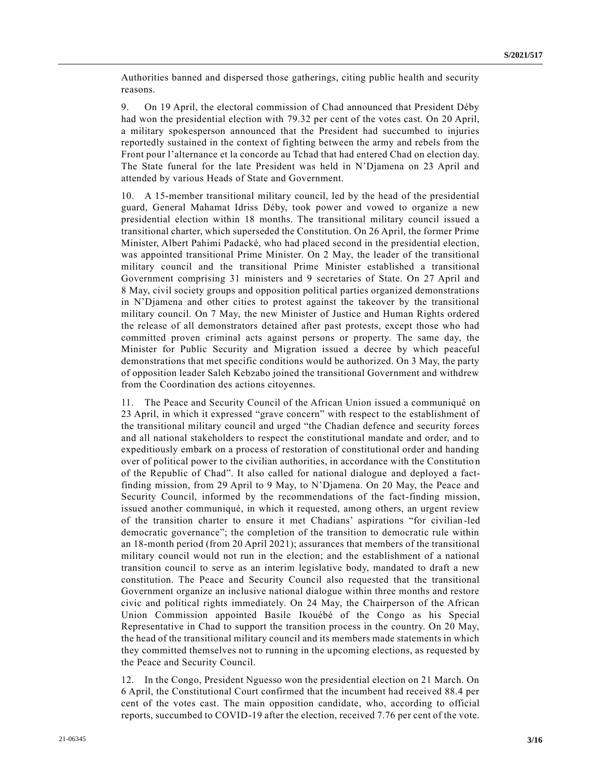Authorities banned and dispersed those gatherings, citing public health and security reasons.

9. On 19 April, the electoral commission of Chad announced that President Déby had won the presidential election with 79.32 per cent of the votes cast. On 20 April, a military spokesperson announced that the President had succumbed to injuries reportedly sustained in the context of fighting between the army and rebels from the Front pour l'alternance et la concorde au Tchad that had entered Chad on election day. The State funeral for the late President was held in N'Djamena on 23 April and attended by various Heads of State and Government.

10. A 15-member transitional military council, led by the head of the presidential guard, General Mahamat Idriss Déby, took power and vowed to organize a new presidential election within 18 months. The transitional military council issued a transitional charter, which superseded the Constitution. On 26 April, the former Prime Minister, Albert Pahimi Padacké, who had placed second in the presidential election, was appointed transitional Prime Minister. On 2 May, the leader of the transitional military council and the transitional Prime Minister established a transitional Government comprising 31 ministers and 9 secretaries of State. On 27 April and 8 May, civil society groups and opposition political parties organized demonstrations in N'Djamena and other cities to protest against the takeover by the transitional military council. On 7 May, the new Minister of Justice and Human Rights ordered the release of all demonstrators detained after past protests, except those who had committed proven criminal acts against persons or property. The same day, the Minister for Public Security and Migration issued a decree by which peaceful demonstrations that met specific conditions would be authorized. On 3 May, the party of opposition leader Saleh Kebzabo joined the transitional Government and withdrew from the Coordination des actions citoyennes.

11. The Peace and Security Council of the African Union issued a communiqué on 23 April, in which it expressed "grave concern" with respect to the establishment of the transitional military council and urged "the Chadian defence and security forces and all national stakeholders to respect the constitutional mandate and order, and to expeditiously embark on a process of restoration of constitutional order and handing over of political power to the civilian authorities, in accordance with the Constitutio n of the Republic of Chad". It also called for national dialogue and deployed a factfinding mission, from 29 April to 9 May, to N'Djamena. On 20 May, the Peace and Security Council, informed by the recommendations of the fact-finding mission, issued another communiqué, in which it requested, among others, an urgent review of the transition charter to ensure it met Chadians' aspirations "for civilian -led democratic governance"; the completion of the transition to democratic rule within an 18-month period (from 20 April 2021); assurances that members of the transitional military council would not run in the election; and the establishment of a national transition council to serve as an interim legislative body, mandated to draft a new constitution. The Peace and Security Council also requested that the transitional Government organize an inclusive national dialogue within three months and restore civic and political rights immediately. On 24 May, the Chairperson of the African Union Commission appointed Basile Ikouébé of the Congo as his Special Representative in Chad to support the transition process in the country. On 20 May, the head of the transitional military council and its members made statements in which they committed themselves not to running in the upcoming elections, as requested by the Peace and Security Council.

12. In the Congo, President Nguesso won the presidential election on 21 March. On 6 April, the Constitutional Court confirmed that the incumbent had received 88.4 per cent of the votes cast. The main opposition candidate, who, according to official reports, succumbed to COVID-19 after the election, received 7.76 per cent of the vote.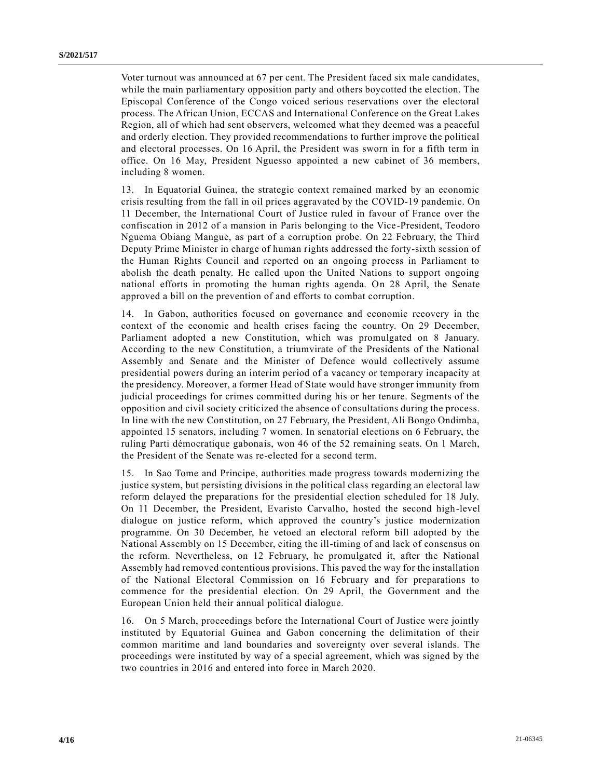Voter turnout was announced at 67 per cent. The President faced six male candidates, while the main parliamentary opposition party and others boycotted the election. The Episcopal Conference of the Congo voiced serious reservations over the electoral process. The African Union, ECCAS and International Conference on the Great Lakes Region, all of which had sent observers, welcomed what they deemed was a peaceful and orderly election. They provided recommendations to further improve the political and electoral processes. On 16 April, the President was sworn in for a fifth term in office. On 16 May, President Nguesso appointed a new cabinet of 36 members, including 8 women.

13. In Equatorial Guinea, the strategic context remained marked by an economic crisis resulting from the fall in oil prices aggravated by the COVID-19 pandemic. On 11 December, the International Court of Justice ruled in favour of France over the confiscation in 2012 of a mansion in Paris belonging to the Vice-President, Teodoro Nguema Obiang Mangue, as part of a corruption probe. On 22 February, the Third Deputy Prime Minister in charge of human rights addressed the forty-sixth session of the Human Rights Council and reported on an ongoing process in Parliament to abolish the death penalty. He called upon the United Nations to support ongoing national efforts in promoting the human rights agenda. On 28 April, the Senate approved a bill on the prevention of and efforts to combat corruption.

14. In Gabon, authorities focused on governance and economic recovery in the context of the economic and health crises facing the country. On 29 December, Parliament adopted a new Constitution, which was promulgated on 8 January. According to the new Constitution, a triumvirate of the Presidents of the National Assembly and Senate and the Minister of Defence would collectively assume presidential powers during an interim period of a vacancy or temporary incapacity at the presidency. Moreover, a former Head of State would have stronger immunity from judicial proceedings for crimes committed during his or her tenure. Segments of the opposition and civil society criticized the absence of consultations during the process. In line with the new Constitution, on 27 February, the President, Ali Bongo Ondimba, appointed 15 senators, including 7 women. In senatorial elections on 6 February, the ruling Parti démocratique gabonais, won 46 of the 52 remaining seats. On 1 March, the President of the Senate was re-elected for a second term.

15. In Sao Tome and Principe, authorities made progress towards modernizing the justice system, but persisting divisions in the political class regarding an electoral law reform delayed the preparations for the presidential election scheduled for 18 July. On 11 December, the President, Evaristo Carvalho, hosted the second high-level dialogue on justice reform, which approved the country's justice modernization programme. On 30 December, he vetoed an electoral reform bill adopted by the National Assembly on 15 December, citing the ill-timing of and lack of consensus on the reform. Nevertheless, on 12 February, he promulgated it, after the National Assembly had removed contentious provisions. This paved the way for the installation of the National Electoral Commission on 16 February and for preparations to commence for the presidential election. On 29 April, the Government and the European Union held their annual political dialogue.

16. On 5 March, proceedings before the International Court of Justice were jointly instituted by Equatorial Guinea and Gabon concerning the delimitation of their common maritime and land boundaries and sovereignty over several islands. The proceedings were instituted by way of a special agreement, which was signed by the two countries in 2016 and entered into force in March 2020.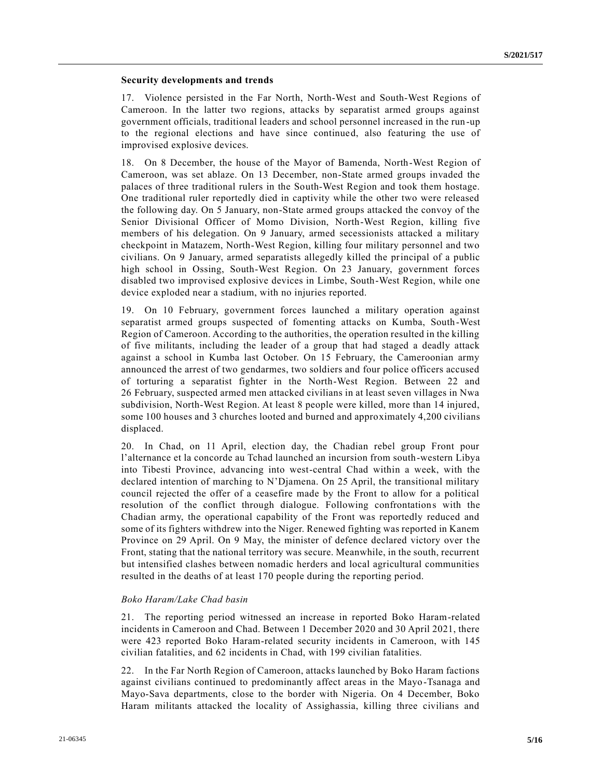### **Security developments and trends**

17. Violence persisted in the Far North, North-West and South-West Regions of Cameroon. In the latter two regions, attacks by separatist armed groups against government officials, traditional leaders and school personnel increased in the run -up to the regional elections and have since continued, also featuring the use of improvised explosive devices.

18. On 8 December, the house of the Mayor of Bamenda, North-West Region of Cameroon, was set ablaze. On 13 December, non-State armed groups invaded the palaces of three traditional rulers in the South-West Region and took them hostage. One traditional ruler reportedly died in captivity while the other two were released the following day. On 5 January, non-State armed groups attacked the convoy of the Senior Divisional Officer of Momo Division, North-West Region, killing five members of his delegation. On 9 January, armed secessionists attacked a military checkpoint in Matazem, North-West Region, killing four military personnel and two civilians. On 9 January, armed separatists allegedly killed the principal of a public high school in Ossing, South-West Region. On 23 January, government forces disabled two improvised explosive devices in Limbe, South-West Region, while one device exploded near a stadium, with no injuries reported.

19. On 10 February, government forces launched a military operation against separatist armed groups suspected of fomenting attacks on Kumba, South -West Region of Cameroon. According to the authorities, the operation resulted in the killing of five militants, including the leader of a group that had staged a deadly attack against a school in Kumba last October. On 15 February, the Cameroonian army announced the arrest of two gendarmes, two soldiers and four police officers accused of torturing a separatist fighter in the North-West Region. Between 22 and 26 February, suspected armed men attacked civilians in at least seven villages in Nwa subdivision, North-West Region. At least 8 people were killed, more than 14 injured, some 100 houses and 3 churches looted and burned and approximately 4,200 civilians displaced.

20. In Chad, on 11 April, election day, the Chadian rebel group Front pour l'alternance et la concorde au Tchad launched an incursion from south-western Libya into Tibesti Province, advancing into west-central Chad within a week, with the declared intention of marching to N'Djamena. On 25 April, the transitional military council rejected the offer of a ceasefire made by the Front to allow for a political resolution of the conflict through dialogue. Following confrontations with the Chadian army, the operational capability of the Front was reportedly reduced and some of its fighters withdrew into the Niger. Renewed fighting was reported in Kanem Province on 29 April. On 9 May, the minister of defence declared victory over the Front, stating that the national territory was secure. Meanwhile, in the south, recurrent but intensified clashes between nomadic herders and local agricultural communities resulted in the deaths of at least 170 people during the reporting period.

#### *Boko Haram/Lake Chad basin*

21. The reporting period witnessed an increase in reported Boko Haram-related incidents in Cameroon and Chad. Between 1 December 2020 and 30 April 2021, there were 423 reported Boko Haram-related security incidents in Cameroon, with 145 civilian fatalities, and 62 incidents in Chad, with 199 civilian fatalities.

22. In the Far North Region of Cameroon, attacks launched by Boko Haram factions against civilians continued to predominantly affect areas in the Mayo-Tsanaga and Mayo-Sava departments, close to the border with Nigeria. On 4 December, Boko Haram militants attacked the locality of Assighassia, killing three civilians and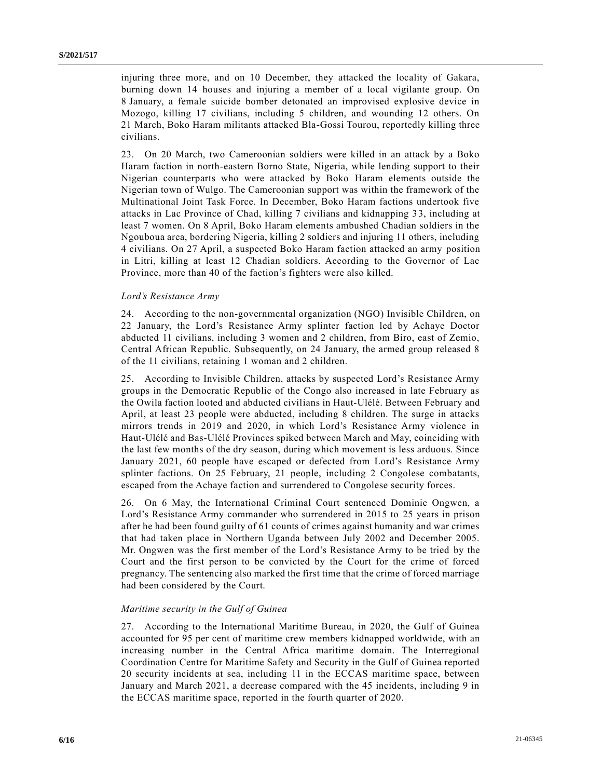injuring three more, and on 10 December, they attacked the locality of Gakara, burning down 14 houses and injuring a member of a local vigilante group. On 8 January, a female suicide bomber detonated an improvised explosive device in Mozogo, killing 17 civilians, including 5 children, and wounding 12 others. On 21 March, Boko Haram militants attacked Bla-Gossi Tourou, reportedly killing three civilians.

23. On 20 March, two Cameroonian soldiers were killed in an attack by a Boko Haram faction in north-eastern Borno State, Nigeria, while lending support to their Nigerian counterparts who were attacked by Boko Haram elements outside the Nigerian town of Wulgo. The Cameroonian support was within the framework of the Multinational Joint Task Force. In December, Boko Haram factions undertook five attacks in Lac Province of Chad, killing 7 civilians and kidnapping 33, including at least 7 women. On 8 April, Boko Haram elements ambushed Chadian soldiers in the Ngouboua area, bordering Nigeria, killing 2 soldiers and injuring 11 others, including 4 civilians. On 27 April, a suspected Boko Haram faction attacked an army position in Litri, killing at least 12 Chadian soldiers. According to the Governor of Lac Province, more than 40 of the faction's fighters were also killed.

### *Lord's Resistance Army*

24. According to the non-governmental organization (NGO) Invisible Children, on 22 January, the Lord's Resistance Army splinter faction led by Achaye Doctor abducted 11 civilians, including 3 women and 2 children, from Biro, east of Zemio, Central African Republic. Subsequently, on 24 January, the armed group released 8 of the 11 civilians, retaining 1 woman and 2 children.

25. According to Invisible Children, attacks by suspected Lord's Resistance Army groups in the Democratic Republic of the Congo also increased in late February as the Owila faction looted and abducted civilians in Haut-Ulélé. Between February and April, at least 23 people were abducted, including 8 children. The surge in attacks mirrors trends in 2019 and 2020, in which Lord's Resistance Army violence in Haut-Ulélé and Bas-Ulélé Provinces spiked between March and May, coinciding with the last few months of the dry season, during which movement is less arduous. Since January 2021, 60 people have escaped or defected from Lord's Resistance Army splinter factions. On 25 February, 21 people, including 2 Congolese combatants, escaped from the Achaye faction and surrendered to Congolese security forces.

26. On 6 May, the International Criminal Court sentenced Dominic Ongwen, a Lord's Resistance Army commander who surrendered in 2015 to 25 years in prison after he had been found guilty of 61 counts of crimes against humanity and war crimes that had taken place in Northern Uganda between July 2002 and December 2005. Mr. Ongwen was the first member of the Lord's Resistance Army to be tried by the Court and the first person to be convicted by the Court for the crime of forced pregnancy. The sentencing also marked the first time that the crime of forced marriage had been considered by the Court.

#### *Maritime security in the Gulf of Guinea*

27. According to the International Maritime Bureau, in 2020, the Gulf of Guinea accounted for 95 per cent of maritime crew members kidnapped worldwide, with an increasing number in the Central Africa maritime domain. The Interregional Coordination Centre for Maritime Safety and Security in the Gulf of Guinea reported 20 security incidents at sea, including 11 in the ECCAS maritime space, between January and March 2021, a decrease compared with the 45 incidents, including 9 in the ECCAS maritime space, reported in the fourth quarter of 2020.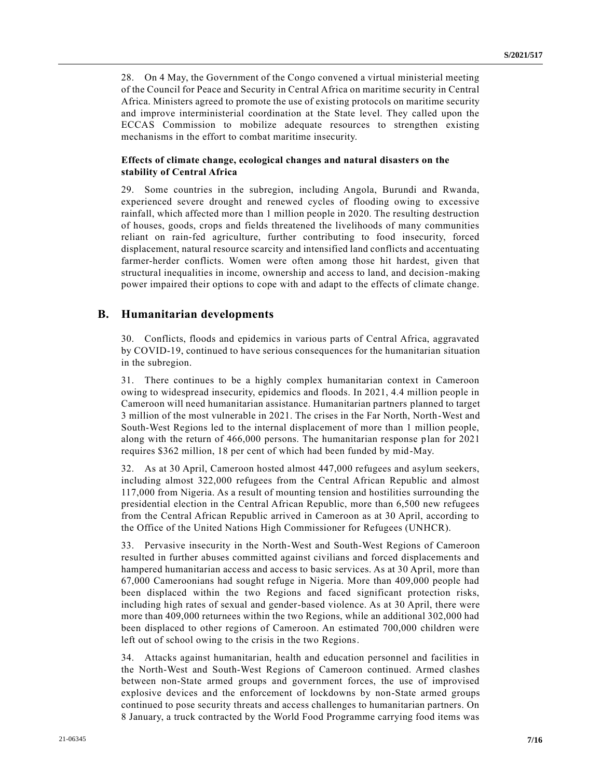28. On 4 May, the Government of the Congo convened a virtual ministerial meeting of the Council for Peace and Security in Central Africa on maritime security in Central Africa. Ministers agreed to promote the use of existing protocols on maritime security and improve interministerial coordination at the State level. They called upon the ECCAS Commission to mobilize adequate resources to strengthen existing mechanisms in the effort to combat maritime insecurity.

## **Effects of climate change, ecological changes and natural disasters on the stability of Central Africa**

29. Some countries in the subregion, including Angola, Burundi and Rwanda, experienced severe drought and renewed cycles of flooding owing to excessive rainfall, which affected more than 1 million people in 2020. The resulting destruction of houses, goods, crops and fields threatened the livelihoods of many communities reliant on rain-fed agriculture, further contributing to food insecurity, forced displacement, natural resource scarcity and intensified land conflicts and accentuating farmer-herder conflicts. Women were often among those hit hardest, given that structural inequalities in income, ownership and access to land, and decision-making power impaired their options to cope with and adapt to the effects of climate change.

## **B. Humanitarian developments**

30. Conflicts, floods and epidemics in various parts of Central Africa, aggravated by COVID-19, continued to have serious consequences for the humanitarian situation in the subregion.

31. There continues to be a highly complex humanitarian context in Cameroon owing to widespread insecurity, epidemics and floods. In 2021, 4.4 million people in Cameroon will need humanitarian assistance. Humanitarian partners planned to target 3 million of the most vulnerable in 2021. The crises in the Far North, North-West and South-West Regions led to the internal displacement of more than 1 million people, along with the return of 466,000 persons. The humanitarian response plan for 2021 requires \$362 million, 18 per cent of which had been funded by mid-May.

32. As at 30 April, Cameroon hosted almost 447,000 refugees and asylum seekers, including almost 322,000 refugees from the Central African Republic and almost 117,000 from Nigeria. As a result of mounting tension and hostilities surrounding the presidential election in the Central African Republic, more than 6,500 new refugees from the Central African Republic arrived in Cameroon as at 30 April, according to the Office of the United Nations High Commissioner for Refugees (UNHCR).

33. Pervasive insecurity in the North-West and South-West Regions of Cameroon resulted in further abuses committed against civilians and forced displacements and hampered humanitarian access and access to basic services. As at 30 April, more than 67,000 Cameroonians had sought refuge in Nigeria. More than 409,000 people had been displaced within the two Regions and faced significant protection risks, including high rates of sexual and gender-based violence. As at 30 April, there were more than 409,000 returnees within the two Regions, while an additional 302,000 had been displaced to other regions of Cameroon. An estimated 700,000 children were left out of school owing to the crisis in the two Regions.

34. Attacks against humanitarian, health and education personnel and facilities in the North-West and South-West Regions of Cameroon continued. Armed clashes between non-State armed groups and government forces, the use of improvised explosive devices and the enforcement of lockdowns by non-State armed groups continued to pose security threats and access challenges to humanitarian partners. On 8 January, a truck contracted by the World Food Programme carrying food items was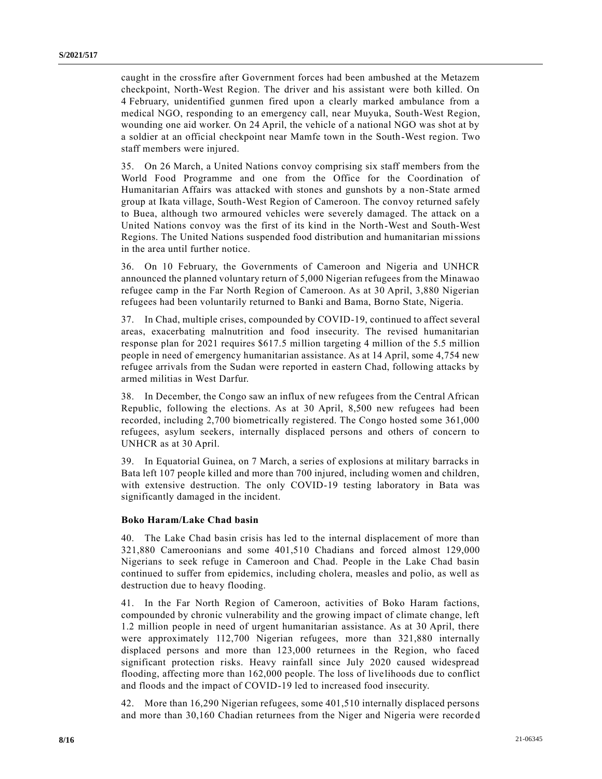caught in the crossfire after Government forces had been ambushed at the Metazem checkpoint, North-West Region. The driver and his assistant were both killed. On 4 February, unidentified gunmen fired upon a clearly marked ambulance from a medical NGO, responding to an emergency call, near Muyuka, South-West Region, wounding one aid worker. On 24 April, the vehicle of a national NGO was shot at by a soldier at an official checkpoint near Mamfe town in the South-West region. Two staff members were injured.

35. On 26 March, a United Nations convoy comprising six staff members from the World Food Programme and one from the Office for the Coordination of Humanitarian Affairs was attacked with stones and gunshots by a non-State armed group at Ikata village, South-West Region of Cameroon. The convoy returned safely to Buea, although two armoured vehicles were severely damaged. The attack on a United Nations convoy was the first of its kind in the North-West and South-West Regions. The United Nations suspended food distribution and humanitarian missions in the area until further notice.

36. On 10 February, the Governments of Cameroon and Nigeria and UNHCR announced the planned voluntary return of 5,000 Nigerian refugees from the Minawao refugee camp in the Far North Region of Cameroon. As at 30 April, 3,880 Nigerian refugees had been voluntarily returned to Banki and Bama, Borno State, Nigeria.

37. In Chad, multiple crises, compounded by COVID-19, continued to affect several areas, exacerbating malnutrition and food insecurity. The revised humanitarian response plan for 2021 requires \$617.5 million targeting 4 million of the 5.5 million people in need of emergency humanitarian assistance. As at 14 April, some 4,754 new refugee arrivals from the Sudan were reported in eastern Chad, following attacks by armed militias in West Darfur.

38. In December, the Congo saw an influx of new refugees from the Central African Republic, following the elections. As at 30 April, 8,500 new refugees had been recorded, including 2,700 biometrically registered. The Congo hosted some 361,000 refugees, asylum seekers, internally displaced persons and others of concern to UNHCR as at 30 April.

39. In Equatorial Guinea, on 7 March, a series of explosions at military barracks in Bata left 107 people killed and more than 700 injured, including women and children, with extensive destruction. The only COVID-19 testing laboratory in Bata was significantly damaged in the incident.

### **Boko Haram/Lake Chad basin**

40. The Lake Chad basin crisis has led to the internal displacement of more than 321,880 Cameroonians and some 401,510 Chadians and forced almost 129,000 Nigerians to seek refuge in Cameroon and Chad. People in the Lake Chad basin continued to suffer from epidemics, including cholera, measles and polio, as well as destruction due to heavy flooding.

41. In the Far North Region of Cameroon, activities of Boko Haram factions, compounded by chronic vulnerability and the growing impact of climate change, left 1.2 million people in need of urgent humanitarian assistance. As at 30 April, there were approximately 112,700 Nigerian refugees, more than 321,880 internally displaced persons and more than 123,000 returnees in the Region, who faced significant protection risks. Heavy rainfall since July 2020 caused widespread flooding, affecting more than 162,000 people. The loss of livelihoods due to conflict and floods and the impact of COVID-19 led to increased food insecurity.

42. More than 16,290 Nigerian refugees, some 401,510 internally displaced persons and more than 30,160 Chadian returnees from the Niger and Nigeria were recorde d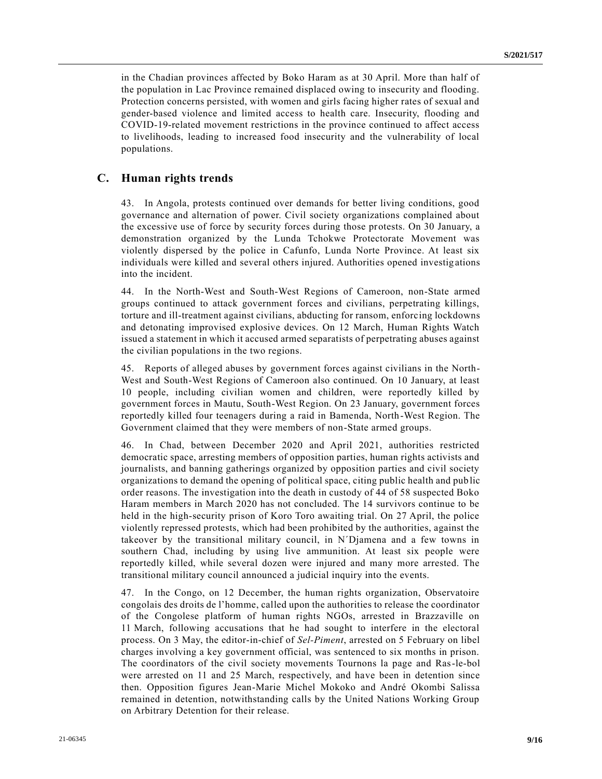in the Chadian provinces affected by Boko Haram as at 30 April. More than half of the population in Lac Province remained displaced owing to insecurity and flooding. Protection concerns persisted, with women and girls facing higher rates of sexual and gender-based violence and limited access to health care. Insecurity, flooding and COVID-19-related movement restrictions in the province continued to affect access to livelihoods, leading to increased food insecurity and the vulnerability of local populations.

## **C. Human rights trends**

43. In Angola, protests continued over demands for better living conditions, good governance and alternation of power. Civil society organizations complained about the excessive use of force by security forces during those protests. On 30 January, a demonstration organized by the Lunda Tchokwe Protectorate Movement was violently dispersed by the police in Cafunfo, Lunda Norte Province. At least six individuals were killed and several others injured. Authorities opened investig ations into the incident.

44. In the North-West and South-West Regions of Cameroon, non-State armed groups continued to attack government forces and civilians, perpetrating killings, torture and ill-treatment against civilians, abducting for ransom, enforcing lockdowns and detonating improvised explosive devices. On 12 March, Human Rights Watch issued a statement in which it accused armed separatists of perpetrating abuses against the civilian populations in the two regions.

45. Reports of alleged abuses by government forces against civilians in the North-West and South-West Regions of Cameroon also continued. On 10 January, at least 10 people, including civilian women and children, were reportedly killed by government forces in Mautu, South-West Region. On 23 January, government forces reportedly killed four teenagers during a raid in Bamenda, North-West Region. The Government claimed that they were members of non-State armed groups.

46. In Chad, between December 2020 and April 2021, authorities restricted democratic space, arresting members of opposition parties, human rights activists and journalists, and banning gatherings organized by opposition parties and civil society organizations to demand the opening of political space, citing public health and pub lic order reasons. The investigation into the death in custody of 44 of 58 suspected Boko Haram members in March 2020 has not concluded. The 14 survivors continue to be held in the high-security prison of Koro Toro awaiting trial. On 27 April, the police violently repressed protests, which had been prohibited by the authorities, against the takeover by the transitional military council, in N´Djamena and a few towns in southern Chad, including by using live ammunition. At least six people were reportedly killed, while several dozen were injured and many more arrested. The transitional military council announced a judicial inquiry into the events.

47. In the Congo, on 12 December, the human rights organization, Observatoire congolais des droits de l'homme, called upon the authorities to release the coordinator of the Congolese platform of human rights NGOs, arrested in Brazzaville on 11 March, following accusations that he had sought to interfere in the electoral process. On 3 May, the editor-in-chief of *Sel-Piment*, arrested on 5 February on libel charges involving a key government official, was sentenced to six months in prison. The coordinators of the civil society movements Tournons la page and Ras-le-bol were arrested on 11 and 25 March, respectively, and have been in detention since then. Opposition figures Jean-Marie Michel Mokoko and André Okombi Salissa remained in detention, notwithstanding calls by the United Nations Working Group on Arbitrary Detention for their release.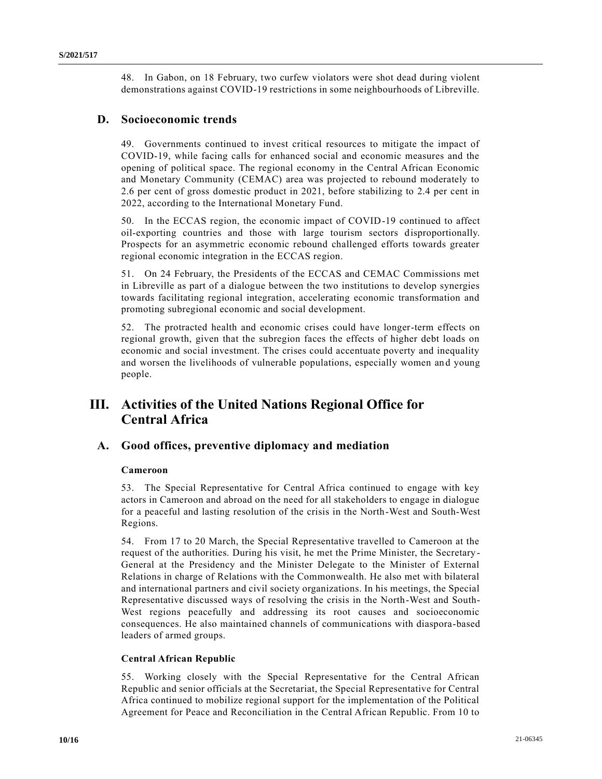48. In Gabon, on 18 February, two curfew violators were shot dead during violent demonstrations against COVID-19 restrictions in some neighbourhoods of Libreville.

## **D. Socioeconomic trends**

49. Governments continued to invest critical resources to mitigate the impact of COVID-19, while facing calls for enhanced social and economic measures and the opening of political space. The regional economy in the Central African Economic and Monetary Community (CEMAC) area was projected to rebound moderately to 2.6 per cent of gross domestic product in 2021, before stabilizing to 2.4 per cent in 2022, according to the International Monetary Fund.

50. In the ECCAS region, the economic impact of COVID-19 continued to affect oil-exporting countries and those with large tourism sectors disproportionally. Prospects for an asymmetric economic rebound challenged efforts towards greater regional economic integration in the ECCAS region.

51. On 24 February, the Presidents of the ECCAS and CEMAC Commissions met in Libreville as part of a dialogue between the two institutions to develop synergies towards facilitating regional integration, accelerating economic transformation and promoting subregional economic and social development.

52. The protracted health and economic crises could have longer-term effects on regional growth, given that the subregion faces the effects of higher debt loads on economic and social investment. The crises could accentuate poverty and inequality and worsen the livelihoods of vulnerable populations, especially women and young people.

# **III. Activities of the United Nations Regional Office for Central Africa**

## **A. Good offices, preventive diplomacy and mediation**

## **Cameroon**

53. The Special Representative for Central Africa continued to engage with key actors in Cameroon and abroad on the need for all stakeholders to engage in dialogue for a peaceful and lasting resolution of the crisis in the North-West and South-West Regions.

54. From 17 to 20 March, the Special Representative travelled to Cameroon at the request of the authorities. During his visit, he met the Prime Minister, the Secretary - General at the Presidency and the Minister Delegate to the Minister of External Relations in charge of Relations with the Commonwealth. He also met with bilateral and international partners and civil society organizations. In his meetings, the Special Representative discussed ways of resolving the crisis in the North-West and South-West regions peacefully and addressing its root causes and socioeconomic consequences. He also maintained channels of communications with diaspora-based leaders of armed groups.

## **Central African Republic**

55. Working closely with the Special Representative for the Central African Republic and senior officials at the Secretariat, the Special Representative for Central Africa continued to mobilize regional support for the implementation of the Political Agreement for Peace and Reconciliation in the Central African Republic. From 10 to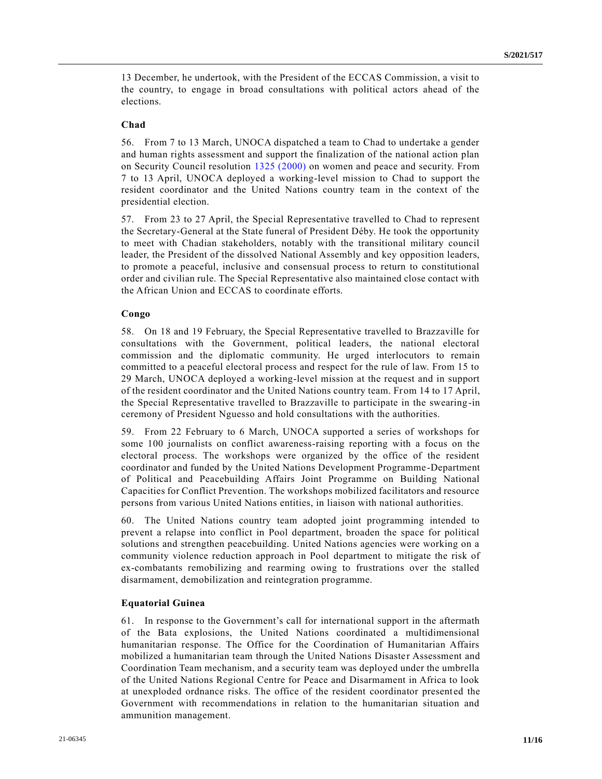13 December, he undertook, with the President of the ECCAS Commission, a visit to the country, to engage in broad consultations with political actors ahead of the elections.

### **Chad**

56. From 7 to 13 March, UNOCA dispatched a team to Chad to undertake a gender and human rights assessment and support the finalization of the national action plan on Security Council resolution [1325 \(2000\)](https://undocs.org/en/S/RES/1325(2000)) on women and peace and security. From 7 to 13 April, UNOCA deployed a working-level mission to Chad to support the resident coordinator and the United Nations country team in the context of the presidential election.

57. From 23 to 27 April, the Special Representative travelled to Chad to represent the Secretary-General at the State funeral of President Déby. He took the opportunity to meet with Chadian stakeholders, notably with the transitional military council leader, the President of the dissolved National Assembly and key opposition leaders, to promote a peaceful, inclusive and consensual process to return to constitutional order and civilian rule. The Special Representative also maintained close contact with the African Union and ECCAS to coordinate efforts.

## **Congo**

58. On 18 and 19 February, the Special Representative travelled to Brazzaville for consultations with the Government, political leaders, the national electoral commission and the diplomatic community. He urged interlocutors to remain committed to a peaceful electoral process and respect for the rule of law. From 15 to 29 March, UNOCA deployed a working-level mission at the request and in support of the resident coordinator and the United Nations country team. From 14 to 17 April, the Special Representative travelled to Brazzaville to participate in the swearing -in ceremony of President Nguesso and hold consultations with the authorities.

59. From 22 February to 6 March, UNOCA supported a series of workshops for some 100 journalists on conflict awareness-raising reporting with a focus on the electoral process. The workshops were organized by the office of the resident coordinator and funded by the United Nations Development Programme -Department of Political and Peacebuilding Affairs Joint Programme on Building National Capacities for Conflict Prevention. The workshops mobilized facilitators and resource persons from various United Nations entities, in liaison with national authorities.

60. The United Nations country team adopted joint programming intended to prevent a relapse into conflict in Pool department, broaden the space for political solutions and strengthen peacebuilding. United Nations agencies were working on a community violence reduction approach in Pool department to mitigate the risk of ex-combatants remobilizing and rearming owing to frustrations over the stalled disarmament, demobilization and reintegration programme.

## **Equatorial Guinea**

61. In response to the Government's call for international support in the aftermath of the Bata explosions, the United Nations coordinated a multidimensional humanitarian response. The Office for the Coordination of Humanitarian Affairs mobilized a humanitarian team through the United Nations Disaste r Assessment and Coordination Team mechanism, and a security team was deployed under the umbrella of the United Nations Regional Centre for Peace and Disarmament in Africa to look at unexploded ordnance risks. The office of the resident coordinator presented the Government with recommendations in relation to the humanitarian situation and ammunition management.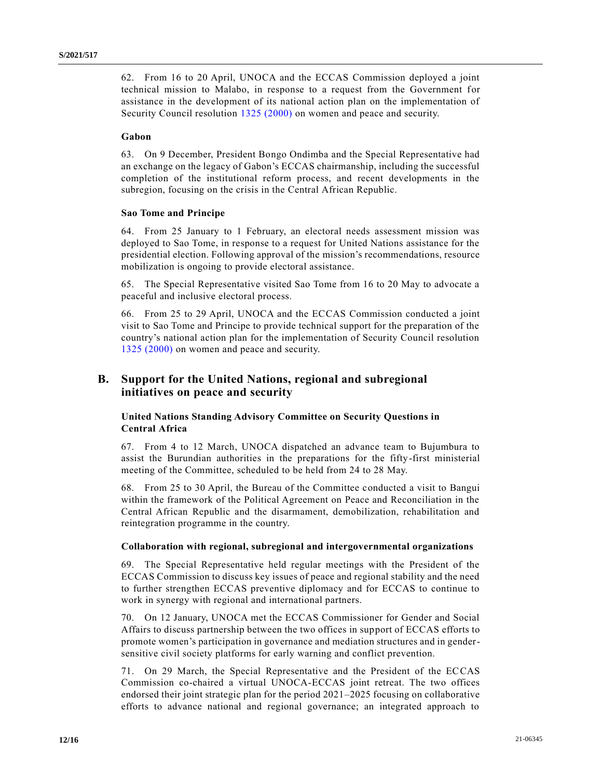62. From 16 to 20 April, UNOCA and the ECCAS Commission deployed a joint technical mission to Malabo, in response to a request from the Government for assistance in the development of its national action plan on the implementation of Security Council resolution [1325 \(2000\)](https://undocs.org/en/S/RES/1325(2000)) on women and peace and security.

## **Gabon**

63. On 9 December, President Bongo Ondimba and the Special Representative had an exchange on the legacy of Gabon's ECCAS chairmanship, including the successful completion of the institutional reform process, and recent developments in the subregion, focusing on the crisis in the Central African Republic.

### **Sao Tome and Principe**

64. From 25 January to 1 February, an electoral needs assessment mission was deployed to Sao Tome, in response to a request for United Nations assistance for the presidential election. Following approval of the mission's recommendations, resource mobilization is ongoing to provide electoral assistance.

65. The Special Representative visited Sao Tome from 16 to 20 May to advocate a peaceful and inclusive electoral process.

66. From 25 to 29 April, UNOCA and the ECCAS Commission conducted a joint visit to Sao Tome and Principe to provide technical support for the preparation of the country's national action plan for the implementation of Security Council resolution [1325 \(2000\)](https://undocs.org/en/S/RES/1325(2000)) on women and peace and security.

## **B. Support for the United Nations, regional and subregional initiatives on peace and security**

## **United Nations Standing Advisory Committee on Security Questions in Central Africa**

67. From 4 to 12 March, UNOCA dispatched an advance team to Bujumbura to assist the Burundian authorities in the preparations for the fifty-first ministerial meeting of the Committee, scheduled to be held from 24 to 28 May.

68. From 25 to 30 April, the Bureau of the Committee conducted a visit to Bangui within the framework of the Political Agreement on Peace and Reconciliation in the Central African Republic and the disarmament, demobilization, rehabilitation and reintegration programme in the country.

#### **Collaboration with regional, subregional and intergovernmental organizations**

69. The Special Representative held regular meetings with the President of the ECCAS Commission to discuss key issues of peace and regional stability and the need to further strengthen ECCAS preventive diplomacy and for ECCAS to continue to work in synergy with regional and international partners.

70. On 12 January, UNOCA met the ECCAS Commissioner for Gender and Social Affairs to discuss partnership between the two offices in support of ECCAS efforts to promote women's participation in governance and mediation structures and in gendersensitive civil society platforms for early warning and conflict prevention.

71. On 29 March, the Special Representative and the President of the ECCAS Commission co-chaired a virtual UNOCA-ECCAS joint retreat. The two offices endorsed their joint strategic plan for the period 2021–2025 focusing on collaborative efforts to advance national and regional governance; an integrated approach to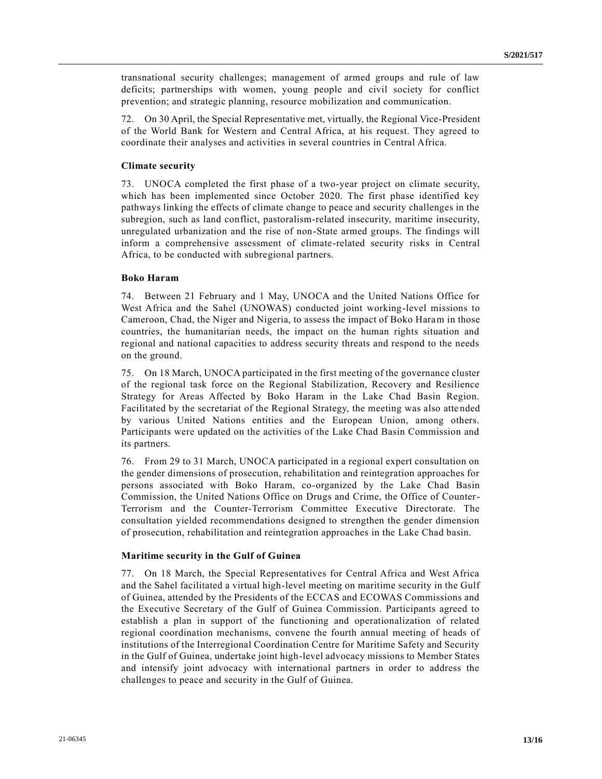transnational security challenges; management of armed groups and rule of law deficits; partnerships with women, young people and civil society for conflict prevention; and strategic planning, resource mobilization and communication.

72. On 30 April, the Special Representative met, virtually, the Regional Vice-President of the World Bank for Western and Central Africa, at his request. They agreed to coordinate their analyses and activities in several countries in Central Africa.

## **Climate security**

73. UNOCA completed the first phase of a two-year project on climate security, which has been implemented since October 2020. The first phase identified key pathways linking the effects of climate change to peace and security challenges in the subregion, such as land conflict, pastoralism-related insecurity, maritime insecurity, unregulated urbanization and the rise of non-State armed groups. The findings will inform a comprehensive assessment of climate-related security risks in Central Africa, to be conducted with subregional partners.

### **Boko Haram**

74. Between 21 February and 1 May, UNOCA and the United Nations Office for West Africa and the Sahel (UNOWAS) conducted joint working-level missions to Cameroon, Chad, the Niger and Nigeria, to assess the impact of Boko Haram in those countries, the humanitarian needs, the impact on the human rights situation and regional and national capacities to address security threats and respond to the needs on the ground.

75. On 18 March, UNOCA participated in the first meeting of the governance cluster of the regional task force on the Regional Stabilization, Recovery and Resilience Strategy for Areas Affected by Boko Haram in the Lake Chad Basin Region. Facilitated by the secretariat of the Regional Strategy, the meeting was also atte nded by various United Nations entities and the European Union, among others. Participants were updated on the activities of the Lake Chad Basin Commission and its partners.

76. From 29 to 31 March, UNOCA participated in a regional expert consultation on the gender dimensions of prosecution, rehabilitation and reintegration approaches for persons associated with Boko Haram, co-organized by the Lake Chad Basin Commission, the United Nations Office on Drugs and Crime, the Office of Counter-Terrorism and the Counter-Terrorism Committee Executive Directorate. The consultation yielded recommendations designed to strengthen the gender dimension of prosecution, rehabilitation and reintegration approaches in the Lake Chad basin.

#### **Maritime security in the Gulf of Guinea**

77. On 18 March, the Special Representatives for Central Africa and West Africa and the Sahel facilitated a virtual high-level meeting on maritime security in the Gulf of Guinea, attended by the Presidents of the ECCAS and ECOWAS Commissions and the Executive Secretary of the Gulf of Guinea Commission. Participants agreed to establish a plan in support of the functioning and operationalization of related regional coordination mechanisms, convene the fourth annual meeting of heads of institutions of the Interregional Coordination Centre for Maritime Safety and Security in the Gulf of Guinea, undertake joint high-level advocacy missions to Member States and intensify joint advocacy with international partners in order to address the challenges to peace and security in the Gulf of Guinea.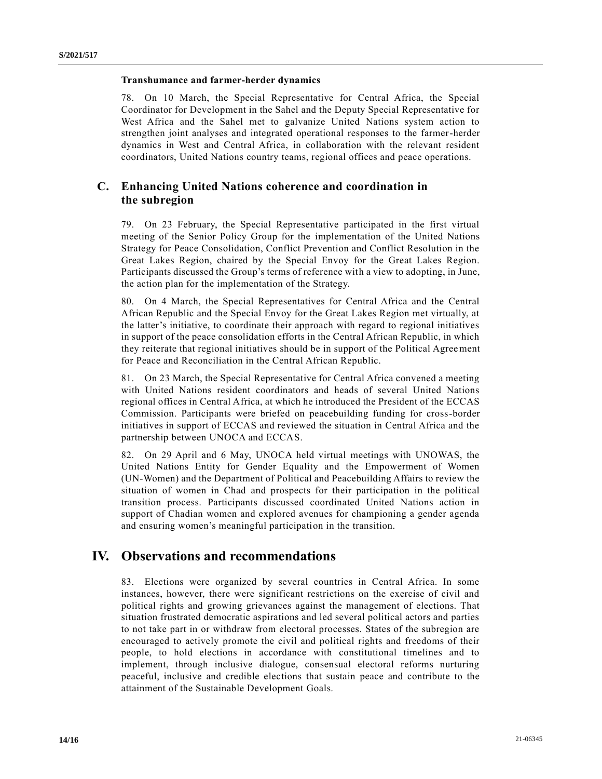### **Transhumance and farmer-herder dynamics**

78. On 10 March, the Special Representative for Central Africa, the Special Coordinator for Development in the Sahel and the Deputy Special Representative for West Africa and the Sahel met to galvanize United Nations system action to strengthen joint analyses and integrated operational responses to the farmer-herder dynamics in West and Central Africa, in collaboration with the relevant resident coordinators, United Nations country teams, regional offices and peace operations.

## **C. Enhancing United Nations coherence and coordination in the subregion**

79. On 23 February, the Special Representative participated in the first virtual meeting of the Senior Policy Group for the implementation of the United Nations Strategy for Peace Consolidation, Conflict Prevention and Conflict Resolution in the Great Lakes Region, chaired by the Special Envoy for the Great Lakes Region. Participants discussed the Group's terms of reference with a view to adopting, in June, the action plan for the implementation of the Strategy.

80. On 4 March, the Special Representatives for Central Africa and the Central African Republic and the Special Envoy for the Great Lakes Region met virtually, at the latter's initiative, to coordinate their approach with regard to regional initiatives in support of the peace consolidation efforts in the Central African Republic, in which they reiterate that regional initiatives should be in support of the Political Agreement for Peace and Reconciliation in the Central African Republic.

81. On 23 March, the Special Representative for Central Africa convened a meeting with United Nations resident coordinators and heads of several United Nations regional offices in Central Africa, at which he introduced the President of the ECCAS Commission. Participants were briefed on peacebuilding funding for cross-border initiatives in support of ECCAS and reviewed the situation in Central Africa and the partnership between UNOCA and ECCAS.

82. On 29 April and 6 May, UNOCA held virtual meetings with UNOWAS, the United Nations Entity for Gender Equality and the Empowerment of Women (UN-Women) and the Department of Political and Peacebuilding Affairs to review the situation of women in Chad and prospects for their participation in the political transition process. Participants discussed coordinated United Nations action in support of Chadian women and explored avenues for championing a gender agenda and ensuring women's meaningful participation in the transition.

# **IV. Observations and recommendations**

83. Elections were organized by several countries in Central Africa. In some instances, however, there were significant restrictions on the exercise of civil and political rights and growing grievances against the management of elections. That situation frustrated democratic aspirations and led several political actors and parties to not take part in or withdraw from electoral processes. States of the subregion are encouraged to actively promote the civil and political rights and freedoms of their people, to hold elections in accordance with constitutional timelines and to implement, through inclusive dialogue, consensual electoral reforms nurturing peaceful, inclusive and credible elections that sustain peace and contribute to the attainment of the Sustainable Development Goals.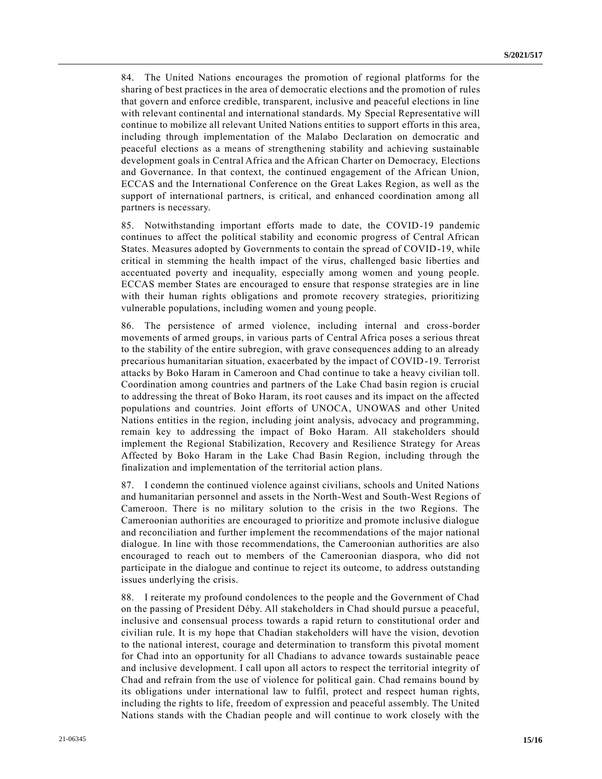84. The United Nations encourages the promotion of regional platforms for the sharing of best practices in the area of democratic elections and the promotion of rules that govern and enforce credible, transparent, inclusive and peaceful elections in line with relevant continental and international standards. My Special Representative will continue to mobilize all relevant United Nations entities to support efforts in this area, including through implementation of the Malabo Declaration on democratic and peaceful elections as a means of strengthening stability and achieving sustainable development goals in Central Africa and the African Charter on Democracy, Elections and Governance. In that context, the continued engagement of the African Union, ECCAS and the International Conference on the Great Lakes Region, as well as the support of international partners, is critical, and enhanced coordination among all partners is necessary.

85. Notwithstanding important efforts made to date, the COVID-19 pandemic continues to affect the political stability and economic progress of Central African States. Measures adopted by Governments to contain the spread of COVID-19, while critical in stemming the health impact of the virus, challenged basic liberties and accentuated poverty and inequality, especially among women and young people. ECCAS member States are encouraged to ensure that response strategies are in line with their human rights obligations and promote recovery strategies, prioritizing vulnerable populations, including women and young people.

86. The persistence of armed violence, including internal and cross-border movements of armed groups, in various parts of Central Africa poses a serious threat to the stability of the entire subregion, with grave consequences adding to an already precarious humanitarian situation, exacerbated by the impact of COVID-19. Terrorist attacks by Boko Haram in Cameroon and Chad continue to take a heavy civilian toll. Coordination among countries and partners of the Lake Chad basin region is crucial to addressing the threat of Boko Haram, its root causes and its impact on the affected populations and countries. Joint efforts of UNOCA, UNOWAS and other United Nations entities in the region, including joint analysis, advocacy and programming, remain key to addressing the impact of Boko Haram. All stakeholders should implement the Regional Stabilization, Recovery and Resilience Strategy for Areas Affected by Boko Haram in the Lake Chad Basin Region, including through the finalization and implementation of the territorial action plans.

87. I condemn the continued violence against civilians, schools and United Nations and humanitarian personnel and assets in the North-West and South-West Regions of Cameroon. There is no military solution to the crisis in the two Regions. The Cameroonian authorities are encouraged to prioritize and promote inclusive dialogue and reconciliation and further implement the recommendations of the major national dialogue. In line with those recommendations, the Cameroonian authorities are also encouraged to reach out to members of the Cameroonian diaspora, who did not participate in the dialogue and continue to reject its outcome, to address outstanding issues underlying the crisis.

88. I reiterate my profound condolences to the people and the Government of Chad on the passing of President Déby. All stakeholders in Chad should pursue a peaceful, inclusive and consensual process towards a rapid return to constitutional order and civilian rule. It is my hope that Chadian stakeholders will have the vision, devotion to the national interest, courage and determination to transform this pivotal moment for Chad into an opportunity for all Chadians to advance towards sustainable peace and inclusive development. I call upon all actors to respect the territorial integrity of Chad and refrain from the use of violence for political gain. Chad remains bound by its obligations under international law to fulfil, protect and respect human rights, including the rights to life, freedom of expression and peaceful assembly. The United Nations stands with the Chadian people and will continue to work closely with the